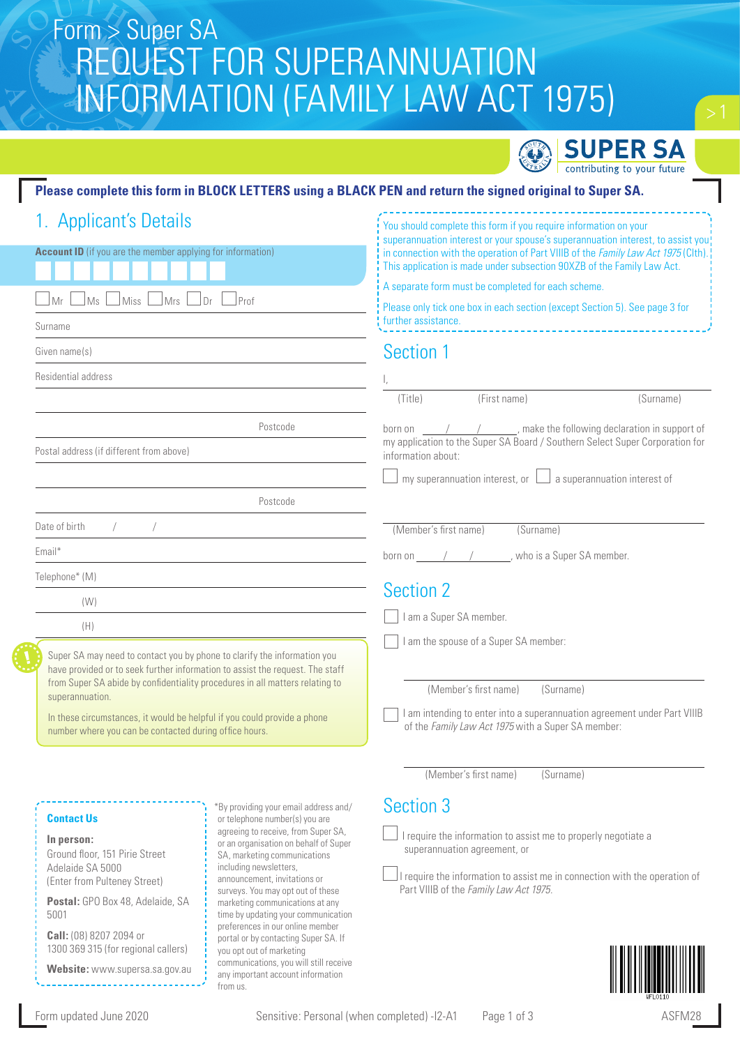# Form > Super SA REQUEST FOR SUPERANNUATION INFORMATION (FAMILY LAW ACT 1975)



You should complete this form if you require information on your

## **Please complete this form in BLOCK LETTERS using a BLACK PEN and return the signed original to Super SA.**

|  | 1. Applicant's Details |  |
|--|------------------------|--|
|  |                        |  |

| <b>Account ID</b> (if you are the member applying for information)<br>⊥Ms<br>$\Box$ Miss<br>$\lfloor$ Mrs $\lfloor$<br>$\Box$ Dr<br>Prof<br>Mr<br>Surname                                                                                                                                                                                                                                          | superannuation interest or your spouse's superannuation interest, to assist you!<br>in connection with the operation of Part VIIIB of the Family Law Act 1975 (Clth).<br>This application is made under subsection 90XZB of the Family Law Act.<br>A separate form must be completed for each scheme.<br>Please only tick one box in each section (except Section 5). See page 3 for<br>further assistance.      |  |  |
|----------------------------------------------------------------------------------------------------------------------------------------------------------------------------------------------------------------------------------------------------------------------------------------------------------------------------------------------------------------------------------------------------|------------------------------------------------------------------------------------------------------------------------------------------------------------------------------------------------------------------------------------------------------------------------------------------------------------------------------------------------------------------------------------------------------------------|--|--|
| Given name(s)                                                                                                                                                                                                                                                                                                                                                                                      | Section 1                                                                                                                                                                                                                                                                                                                                                                                                        |  |  |
| Residential address                                                                                                                                                                                                                                                                                                                                                                                |                                                                                                                                                                                                                                                                                                                                                                                                                  |  |  |
|                                                                                                                                                                                                                                                                                                                                                                                                    | (First name)<br>(Title)<br>(Surname)                                                                                                                                                                                                                                                                                                                                                                             |  |  |
| Postcode                                                                                                                                                                                                                                                                                                                                                                                           | born on $\frac{1}{1-\frac{1}{1-\frac{1}{1-\frac{1}{1-\frac{1}{1-\frac{1}{1-\frac{1}{1-\frac{1}{1-\frac{1}{1-\frac{1}{1-\frac{1}{1-\frac{1}{1-\frac{1}{1-\frac{1}{1-\frac{1}{1-\frac{1}{1-\frac{1}{1-\frac{1}{1-\frac{1}{1-\frac{1}{1-\frac{1}{1-\frac{1}{1-\frac{1}{1-\frac{1}{1-\frac{1}{1-\frac{1}{1-\frac{1}{1-\frac{1}{1-\frac{1}{1-\frac{1}{1-\frac{1}{1-\frac{1}{1-\frac{1}{1-\frac{1}{1-\frac{1}{1-\frac$ |  |  |
| Postal address (if different from above)                                                                                                                                                                                                                                                                                                                                                           | my application to the Super SA Board / Southern Select Super Corporation for<br>information about:                                                                                                                                                                                                                                                                                                               |  |  |
|                                                                                                                                                                                                                                                                                                                                                                                                    | my superannuation interest, or $\Box$ a superannuation interest of                                                                                                                                                                                                                                                                                                                                               |  |  |
| Postcode                                                                                                                                                                                                                                                                                                                                                                                           |                                                                                                                                                                                                                                                                                                                                                                                                                  |  |  |
| Date of birth                                                                                                                                                                                                                                                                                                                                                                                      | (Member's first name)<br>(Surname)                                                                                                                                                                                                                                                                                                                                                                               |  |  |
| Email*                                                                                                                                                                                                                                                                                                                                                                                             | born on $\frac{1}{2}$ / $\frac{1}{2}$ , who is a Super SA member.                                                                                                                                                                                                                                                                                                                                                |  |  |
| Telephone* (M)                                                                                                                                                                                                                                                                                                                                                                                     |                                                                                                                                                                                                                                                                                                                                                                                                                  |  |  |
| (W)                                                                                                                                                                                                                                                                                                                                                                                                | <b>Section 2</b>                                                                                                                                                                                                                                                                                                                                                                                                 |  |  |
| (H)                                                                                                                                                                                                                                                                                                                                                                                                | I am a Super SA member.                                                                                                                                                                                                                                                                                                                                                                                          |  |  |
| Super SA may need to contact you by phone to clarify the information you<br>have provided or to seek further information to assist the request. The staff<br>from Super SA abide by confidentiality procedures in all matters relating to<br>superannuation.<br>In these circumstances, it would be helpful if you could provide a phone<br>number where you can be contacted during office hours. | I am the spouse of a Super SA member:<br>(Member's first name)<br>(Surname)<br>am intending to enter into a superannuation agreement under Part VIIIB<br>of the Family Law Act 1975 with a Super SA member:                                                                                                                                                                                                      |  |  |

**Contact Us**

**In person:**

Ground floor, 151 Pirie Street Adelaide SA 5000 (Enter from Pulteney Street)

**Postal:** GPO Box 48, Adelaide, SA 5001

**Call:** (08) 8207 2094 or 1300 369 315 (for regional callers)

**Website:** www.supersa.sa.gov.au

\*By providing your email address and/ or telephone number(s) you are agreeing to receive, from Super SA, or an organisation on behalf of Super SA, marketing communications including newsletters, announcement, invitations or surveys. You may opt out of these marketing communications at any time by updating your communication preferences in our online member portal or by contacting Super SA. If you opt out of marketing communications, you will still receive any important account information from us.

# Section 3

 I require the information to assist me to properly negotiate a superannuation agreement, or

(Member's first name) (Surname)

I require the information to assist me in connection with the operation of Part VIIIB of the *Family Law Act 1975*.

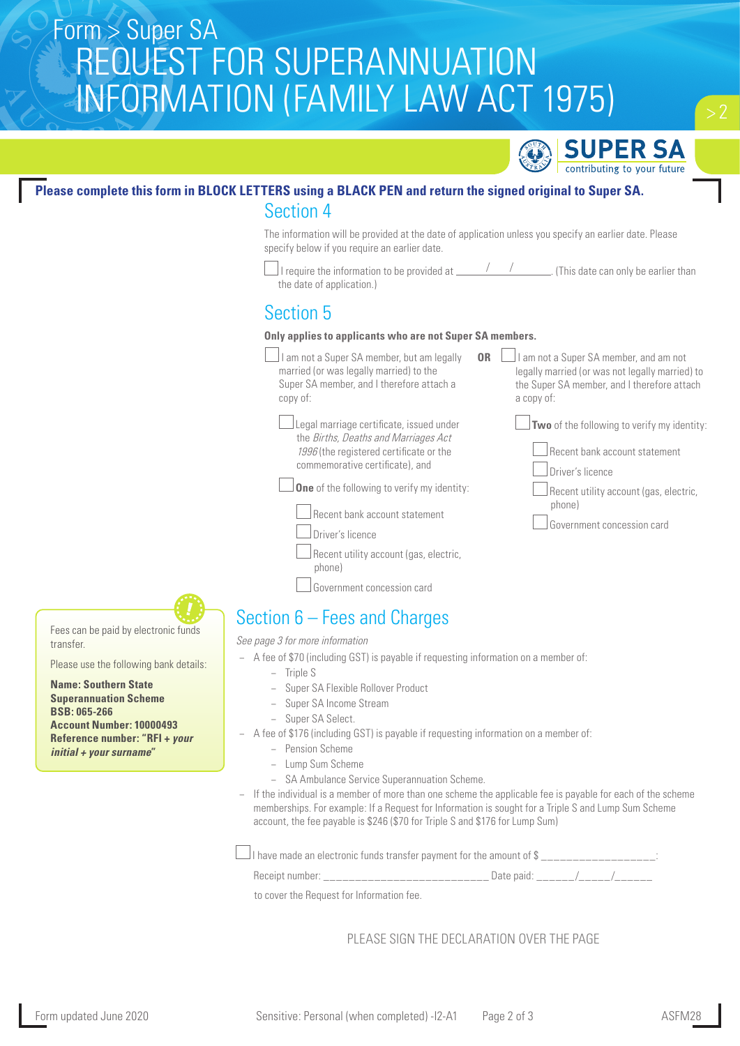# Form > Super SA REQUEST FOR SUPERANNUATION INFORMATION (FAMILY LAW ACT 1975)



# **Please complete this form in BLOCK LETTERS using a BLACK PEN and return the signed original to Super SA.**

## Section 4

The information will be provided at the date of application unless you specify an earlier date. Please specify below if you require an earlier date.

 $\Box$  I require the information to be provided at  $\_\,\_\,\_\,\_\,\_\,\_\,\_\,\_\,\_\$  (This date can only be earlier than the date of application.)

# Section 5

### **Only applies to applicants who are not Super SA members.**

 $\Box$  I am not a Super SA member, but am legally married (or was legally married) to the Super SA member, and I therefore attach a copy of: **OR**

 Legal marriage certificate, issued under the Births, Deaths and Marriages Act 1996 (the registered certificate or the commemorative certificate), and

**One** of the following to verify my identity:

 $\Box$  Recent bank account statement

Government concession card



legally married (or was not legally married) to the Super SA member, and I therefore attach a copy of:

 $\Box$  I am not a Super SA member, and am not

**Two** of the following to verify my identity:

Recent bank account statement

Driver's licence

 Recent utility account (gas, electric, phone)

Government concession card

Fees can be paid by electronic funds transfer.

Please use the following bank details:

**Name: Southern State Superannuation Scheme BSB: 065-266**

**Account Number: 10000493 Reference number: "RFI +** *your initial + your surname***"**

Section 6 – Fees and Charges *See page 3 for more information*

- − A fee of \$70 (including GST) is payable if requesting information on a member of:
	- − Triple S
	- − Super SA Flexible Rollover Product
	- − Super SA Income Stream
	- Super SA Select.
- − A fee of \$176 (including GST) is payable if requesting information on a member of:
	- − Pension Scheme
	- − Lump Sum Scheme
	- − SA Ambulance Service Superannuation Scheme.
- − If the individual is a member of more than one scheme the applicable fee is payable for each of the scheme memberships. For example: If a Request for Information is sought for a Triple S and Lump Sum Scheme account, the fee payable is \$246 (\$70 for Triple S and \$176 for Lump Sum)

 $\Box$  I have made an electronic funds transfer payment for the amount of \$  $\,$ 

Receipt number: <br>
Receipt number: <br>  $\begin{array}{ccc} \hline \end{array}$ 

to cover the Request for Information fee.

PLEASE SIGN THE DECLARATION OVER THE PAGE